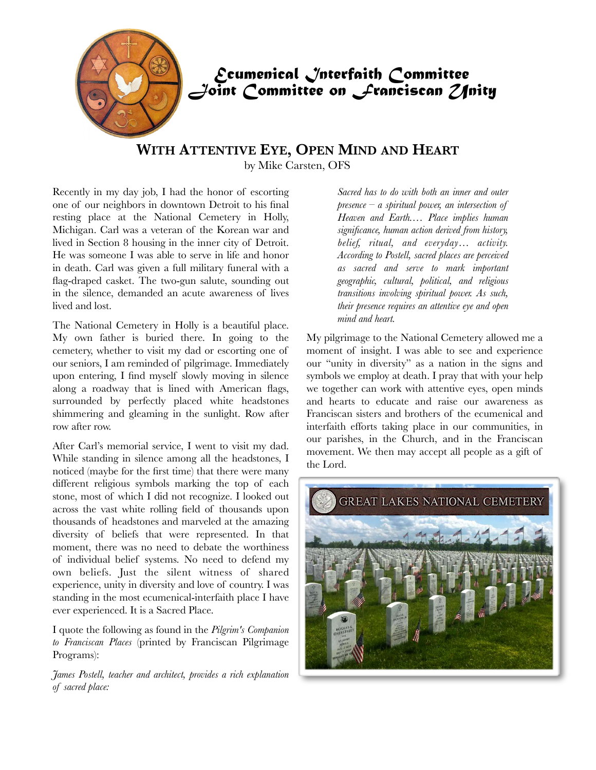

## **WITH ATTENTIVE EYE, OPEN MIND AND HEART** by Mike Carsten, OFS

Recently in my day job, I had the honor of escorting one of our neighbors in downtown Detroit to his final resting place at the National Cemetery in Holly, Michigan. Carl was a veteran of the Korean war and lived in Section 8 housing in the inner city of Detroit. He was someone I was able to serve in life and honor in death. Carl was given a full military funeral with a flag-draped casket. The two-gun salute, sounding out in the silence, demanded an acute awareness of lives lived and lost.

The National Cemetery in Holly is a beautiful place. My own father is buried there. In going to the cemetery, whether to visit my dad or escorting one of our seniors, I am reminded of pilgrimage. Immediately upon entering, I find myself slowly moving in silence along a roadway that is lined with American flags, surrounded by perfectly placed white headstones shimmering and gleaming in the sunlight. Row after row after row.

After Carl's memorial service, I went to visit my dad. While standing in silence among all the headstones, I noticed (maybe for the first time) that there were many different religious symbols marking the top of each stone, most of which I did not recognize. I looked out across the vast white rolling field of thousands upon thousands of headstones and marveled at the amazing diversity of beliefs that were represented. In that moment, there was no need to debate the worthiness of individual belief systems. No need to defend my own beliefs. Just the silent witness of shared experience, unity in diversity and love of country. I was standing in the most ecumenical-interfaith place I have ever experienced. It is a Sacred Place.

I quote the following as found in the *Pilgrim's Companion to Franciscan Places* (printed by Franciscan Pilgrimage Programs):

*James Postell, teacher and architect, provides a rich explanation of sacred place:*

*Sacred has to do with both an inner and outer presence – a spiritual power, an intersection of Heaven and Earth.… Place implies human significance, human action derived from history, belief, ritual, and everyday… activity. According to Postell, sacred places are perceived as sacred and serve to mark important geographic, cultural, political, and religious transitions involving spiritual power. As such, their presence requires an attentive eye and open mind and heart.*

My pilgrimage to the National Cemetery allowed me a moment of insight. I was able to see and experience our "unity in diversity" as a nation in the signs and symbols we employ at death. I pray that with your help we together can work with attentive eyes, open minds and hearts to educate and raise our awareness as Franciscan sisters and brothers of the ecumenical and interfaith efforts taking place in our communities, in our parishes, in the Church, and in the Franciscan movement. We then may accept all people as a gift of the Lord.